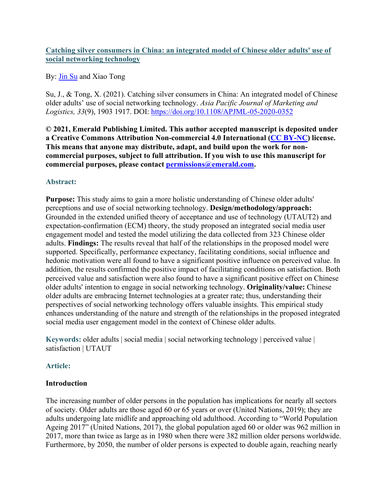### **Catching silver consumers in China: an integrated model of Chinese older adults' use of social networking technology**

### By: [Jin Su](http://libres.uncg.edu/ir/uncg/clist.aspx?id=13707) and Xiao Tong

Su, J., & Tong, X. (2021). Catching silver consumers in China: An integrated model of Chinese older adults' use of social networking technology. *Asia Pacific Journal of Marketing and Logistics, 33*(9), 1903 1917. DOI: <https://doi.org/10.1108/APJML-05-2020-0352>

**© 2021, Emerald Publishing Limited. This author accepted manuscript is deposited under a Creative Commons Attribution Non-commercial 4.0 International [\(CC BY-NC\)](https://creativecommons.org/licenses/by-nc/4.0/) license. This means that anyone may distribute, adapt, and build upon the work for noncommercial purposes, subject to full attribution. If you wish to use this manuscript for commercial purposes, please contact [permissions@emerald.com.](mailto:permissions@emerald.com)**

## **Abstract:**

**Purpose:** This study aims to gain a more holistic understanding of Chinese older adults' perceptions and use of social networking technology. **Design/methodology/approach:**  Grounded in the extended unified theory of acceptance and use of technology (UTAUT2) and expectation-confirmation (ECM) theory, the study proposed an integrated social media user engagement model and tested the model utilizing the data collected from 323 Chinese older adults. **Findings:** The results reveal that half of the relationships in the proposed model were supported. Specifically, performance expectancy, facilitating conditions, social influence and hedonic motivation were all found to have a significant positive influence on perceived value. In addition, the results confirmed the positive impact of facilitating conditions on satisfaction. Both perceived value and satisfaction were also found to have a significant positive effect on Chinese older adults' intention to engage in social networking technology. **Originality/value:** Chinese older adults are embracing Internet technologies at a greater rate; thus, understanding their perspectives of social networking technology offers valuable insights. This empirical study enhances understanding of the nature and strength of the relationships in the proposed integrated social media user engagement model in the context of Chinese older adults.

**Keywords:** older adults | social media | social networking technology | perceived value | satisfaction | UTAUT

### **Article:**

### **Introduction**

The increasing number of older persons in the population has implications for nearly all sectors of society. Older adults are those aged 60 or 65 years or over (United Nations, 2019); they are adults undergoing late midlife and approaching old adulthood. According to "World Population Ageing 2017" (United Nations, 2017), the global population aged 60 or older was 962 million in 2017, more than twice as large as in 1980 when there were 382 million older persons worldwide. Furthermore, by 2050, the number of older persons is expected to double again, reaching nearly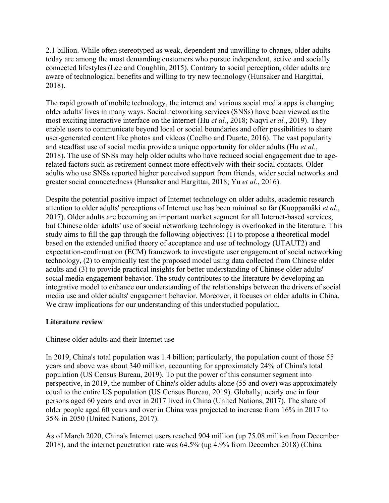2.1 billion. While often stereotyped as weak, dependent and unwilling to change, older adults today are among the most demanding customers who pursue independent, active and socially connected lifestyles (Lee and Coughlin, 2015). Contrary to social perception, older adults are aware of technological benefits and willing to try new technology (Hunsaker and Hargittai, 2018).

The rapid growth of mobile technology, the internet and various social media apps is changing older adults' lives in many ways. Social networking services (SNSs) have been viewed as the most exciting interactive interface on the internet (Hu *et al.*, 2018; Naqvi *et al.*, 2019). They enable users to communicate beyond local or social boundaries and offer possibilities to share user-generated content like photos and videos (Coelho and Duarte, 2016). The vast popularity and steadfast use of social media provide a unique opportunity for older adults (Hu *et al.*, 2018). The use of SNSs may help older adults who have reduced social engagement due to agerelated factors such as retirement connect more effectively with their social contacts. Older adults who use SNSs reported higher perceived support from friends, wider social networks and greater social connectedness (Hunsaker and Hargittai, 2018; Yu *et al.*, 2016).

Despite the potential positive impact of Internet technology on older adults, academic research attention to older adults' perceptions of Internet use has been minimal so far (Kuoppamäki *et al.*, 2017). Older adults are becoming an important market segment for all Internet-based services, but Chinese older adults' use of social networking technology is overlooked in the literature. This study aims to fill the gap through the following objectives: (1) to propose a theoretical model based on the extended unified theory of acceptance and use of technology (UTAUT2) and expectation-confirmation (ECM) framework to investigate user engagement of social networking technology, (2) to empirically test the proposed model using data collected from Chinese older adults and (3) to provide practical insights for better understanding of Chinese older adults' social media engagement behavior. The study contributes to the literature by developing an integrative model to enhance our understanding of the relationships between the drivers of social media use and older adults' engagement behavior. Moreover, it focuses on older adults in China. We draw implications for our understanding of this understudied population.

### **Literature review**

Chinese older adults and their Internet use

In 2019, China's total population was 1.4 billion; particularly, the population count of those 55 years and above was about 340 million, accounting for approximately 24% of China's total population (US Census Bureau, 2019). To put the power of this consumer segment into perspective, in 2019, the number of China's older adults alone (55 and over) was approximately equal to the entire US population (US Census Bureau, 2019). Globally, nearly one in four persons aged 60 years and over in 2017 lived in China (United Nations, 2017). The share of older people aged 60 years and over in China was projected to increase from 16% in 2017 to 35% in 2050 (United Nations, 2017).

As of March 2020, China's Internet users reached 904 million (up 75.08 million from December 2018), and the internet penetration rate was 64.5% (up 4.9% from December 2018) (China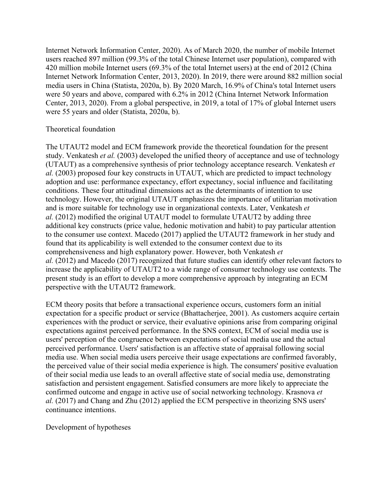Internet Network Information Center, 2020). As of March 2020, the number of mobile Internet users reached 897 million (99.3% of the total Chinese Internet user population), compared with 420 million mobile Internet users (69.3% of the total Internet users) at the end of 2012 (China Internet Network Information Center, 2013, 2020). In 2019, there were around 882 million social media users in China (Statista, 2020a, b). By 2020 March, 16.9% of China's total Internet users were 50 years and above, compared with 6.2% in 2012 (China Internet Network Information Center, 2013, 2020). From a global perspective, in 2019, a total of 17% of global Internet users were 55 years and older (Statista, 2020a, b).

### Theoretical foundation

The UTAUT2 model and ECM framework provide the theoretical foundation for the present study. Venkatesh *et al.* (2003) developed the unified theory of acceptance and use of technology (UTAUT) as a comprehensive synthesis of prior technology acceptance research. Venkatesh *et al.* (2003) proposed four key constructs in UTAUT, which are predicted to impact technology adoption and use: performance expectancy, effort expectancy, social influence and facilitating conditions. These four attitudinal dimensions act as the determinants of intention to use technology. However, the original UTAUT emphasizes the importance of utilitarian motivation and is more suitable for technology use in organizational contexts. Later, Venkatesh *et al.* (2012) modified the original UTAUT model to formulate UTAUT2 by adding three additional key constructs (price value, hedonic motivation and habit) to pay particular attention to the consumer use context. Macedo (2017) applied the UTAUT2 framework in her study and found that its applicability is well extended to the consumer context due to its comprehensiveness and high explanatory power. However, both Venkatesh *et al.* (2012) and Macedo (2017) recognized that future studies can identify other relevant factors to increase the applicability of UTAUT2 to a wide range of consumer technology use contexts. The present study is an effort to develop a more comprehensive approach by integrating an ECM perspective with the UTAUT2 framework.

ECM theory posits that before a transactional experience occurs, customers form an initial expectation for a specific product or service (Bhattacherjee, 2001). As customers acquire certain experiences with the product or service, their evaluative opinions arise from comparing original expectations against perceived performance. In the SNS context, ECM of social media use is users' perception of the congruence between expectations of social media use and the actual perceived performance. Users' satisfaction is an affective state of appraisal following social media use. When social media users perceive their usage expectations are confirmed favorably, the perceived value of their social media experience is high. The consumers' positive evaluation of their social media use leads to an overall affective state of social media use, demonstrating satisfaction and persistent engagement. Satisfied consumers are more likely to appreciate the confirmed outcome and engage in active use of social networking technology. Krasnova *et al.* (2017) and Chang and Zhu (2012) applied the ECM perspective in theorizing SNS users' continuance intentions.

Development of hypotheses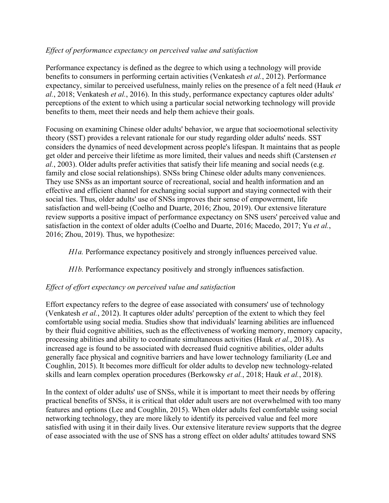## *Effect of performance expectancy on perceived value and satisfaction*

Performance expectancy is defined as the degree to which using a technology will provide benefits to consumers in performing certain activities (Venkatesh *et al.*, 2012). Performance expectancy, similar to perceived usefulness, mainly relies on the presence of a felt need (Hauk *et al.*, 2018; Venkatesh *et al.*, 2016). In this study, performance expectancy captures older adults' perceptions of the extent to which using a particular social networking technology will provide benefits to them, meet their needs and help them achieve their goals.

Focusing on examining Chinese older adults' behavior, we argue that socioemotional selectivity theory (SST) provides a relevant rationale for our study regarding older adults' needs. SST considers the dynamics of need development across people's lifespan. It maintains that as people get older and perceive their lifetime as more limited, their values and needs shift (Carstensen *et al.*, 2003). Older adults prefer activities that satisfy their life meaning and social needs (e.g. family and close social relationships). SNSs bring Chinese older adults many conveniences. They use SNSs as an important source of recreational, social and health information and an effective and efficient channel for exchanging social support and staying connected with their social ties. Thus, older adults' use of SNSs improves their sense of empowerment, life satisfaction and well-being (Coelho and Duarte, 2016; Zhou, 2019). Our extensive literature review supports a positive impact of performance expectancy on SNS users' perceived value and satisfaction in the context of older adults (Coelho and Duarte, 2016; Macedo, 2017; Yu *et al.*, 2016; Zhou, 2019). Thus, we hypothesize:

*H1a.* Performance expectancy positively and strongly influences perceived value.

*H1b.* Performance expectancy positively and strongly influences satisfaction.

# *Effect of effort expectancy on perceived value and satisfaction*

Effort expectancy refers to the degree of ease associated with consumers' use of technology (Venkatesh *et al.*, 2012). It captures older adults' perception of the extent to which they feel comfortable using social media. Studies show that individuals' learning abilities are influenced by their fluid cognitive abilities, such as the effectiveness of working memory, memory capacity, processing abilities and ability to coordinate simultaneous activities (Hauk *et al.*, 2018). As increased age is found to be associated with decreased fluid cognitive abilities, older adults generally face physical and cognitive barriers and have lower technology familiarity (Lee and Coughlin, 2015). It becomes more difficult for older adults to develop new technology-related skills and learn complex operation procedures (Berkowsky *et al.*, 2018; Hauk *et al.*, 2018).

In the context of older adults' use of SNSs, while it is important to meet their needs by offering practical benefits of SNSs, it is critical that older adult users are not overwhelmed with too many features and options (Lee and Coughlin, 2015). When older adults feel comfortable using social networking technology, they are more likely to identify its perceived value and feel more satisfied with using it in their daily lives. Our extensive literature review supports that the degree of ease associated with the use of SNS has a strong effect on older adults' attitudes toward SNS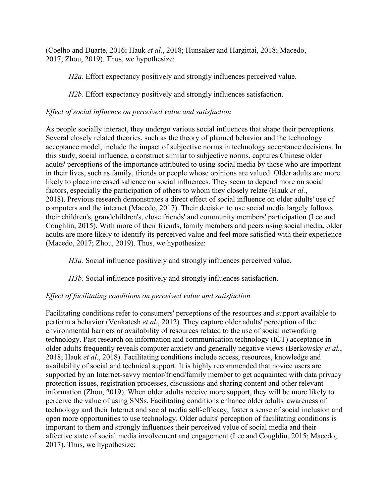(Coelho and Duarte, 2016; Hauk *et al.*, 2018; Hunsaker and Hargittai, 2018; Macedo, 2017; Zhou, 2019). Thus, we hypothesize:

*H2a.* Effort expectancy positively and strongly influences perceived value.

*H2b.* Effort expectancy positively and strongly influences satisfaction.

## *Effect of social influence on perceived value and satisfaction*

As people socially interact, they undergo various social influences that shape their perceptions. Several closely related theories, such as the theory of planned behavior and the technology acceptance model, include the impact of subjective norms in technology acceptance decisions. In this study, social influence, a construct similar to subjective norms, captures Chinese older adults' perceptions of the importance attributed to using social media by those who are important in their lives, such as family, friends or people whose opinions are valued. Older adults are more likely to place increased salience on social influences. They seem to depend more on social factors, especially the participation of others to whom they closely relate (Hauk *et al.*, 2018). Previous research demonstrates a direct effect of social influence on older adults' use of computers and the internet (Macedo, 2017). Their decision to use social media largely follows their children's, grandchildren's, close friends' and community members' participation (Lee and Coughlin, 2015). With more of their friends, family members and peers using social media, older adults are more likely to identify its perceived value and feel more satisfied with their experience (Macedo, 2017; Zhou, 2019). Thus, we hypothesize:

*H3a.* Social influence positively and strongly influences perceived value.

*H3b.* Social influence positively and strongly influences satisfaction.

### *Effect of facilitating conditions on perceived value and satisfaction*

Facilitating conditions refer to consumers' perceptions of the resources and support available to perform a behavior (Venkatesh *et al.*, 2012). They capture older adults' perception of the environmental barriers or availability of resources related to the use of social networking technology. Past research on information and communication technology (ICT) acceptance in older adults frequently reveals computer anxiety and generally negative views (Berkowsky *et al.*, 2018; Hauk *et al.*, 2018). Facilitating conditions include access, resources, knowledge and availability of social and technical support. It is highly recommended that novice users are supported by an Internet-savvy mentor/friend/family member to get acquainted with data privacy protection issues, registration processes, discussions and sharing content and other relevant information (Zhou, 2019). When older adults receive more support, they will be more likely to perceive the value of using SNSs. Facilitating conditions enhance older adults' awareness of technology and their Internet and social media self-efficacy, foster a sense of social inclusion and open more opportunities to use technology. Older adults' perception of facilitating conditions is important to them and strongly influences their perceived value of social media and their affective state of social media involvement and engagement (Lee and Coughlin, 2015; Macedo, 2017). Thus, we hypothesize: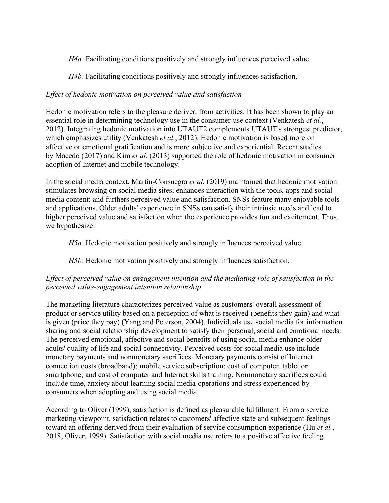*H4a.* Facilitating conditions positively and strongly influences perceived value.

*H4b.* Facilitating conditions positively and strongly influences satisfaction.

## *Effect of hedonic motivation on perceived value and satisfaction*

Hedonic motivation refers to the pleasure derived from activities. It has been shown to play an essential role in determining technology use in the consumer-use context (Venkatesh *et al.*, 2012). Integrating hedonic motivation into UTAUT2 complements UTAUT's strongest predictor, which emphasizes utility (Venkatesh *et al.*, 2012). Hedonic motivation is based more on affective or emotional gratification and is more subjective and experiential. Recent studies by Macedo (2017) and Kim *et al.* (2013) supported the role of hedonic motivation in consumer adoption of Internet and mobile technology.

In the social media context, Martín-Consuegra *et al.* (2019) maintained that hedonic motivation stimulates browsing on social media sites; enhances interaction with the tools, apps and social media content; and furthers perceived value and satisfaction. SNSs feature many enjoyable tools and applications. Older adults' experience in SNSs can satisfy their intrinsic needs and lead to higher perceived value and satisfaction when the experience provides fun and excitement. Thus, we hypothesize:

*H5a.* Hedonic motivation positively and strongly influences perceived value.

*H5b.* Hedonic motivation positively and strongly influences satisfaction.

# *Effect of perceived value on engagement intention and the mediating role of satisfaction in the perceived value-engagement intention relationship*

The marketing literature characterizes perceived value as customers' overall assessment of product or service utility based on a perception of what is received (benefits they gain) and what is given (price they pay) (Yang and Peterson, 2004). Individuals use social media for information sharing and social relationship development to satisfy their personal, social and emotional needs. The perceived emotional, affective and social benefits of using social media enhance older adults' quality of life and social connectivity. Perceived costs for social media use include monetary payments and nonmonetary sacrifices. Monetary payments consist of Internet connection costs (broadband); mobile service subscription; cost of computer, tablet or smartphone; and cost of computer and Internet skills training. Nonmonetary sacrifices could include time, anxiety about learning social media operations and stress experienced by consumers when adopting and using social media.

According to Oliver (1999), satisfaction is defined as pleasurable fulfillment. From a service marketing viewpoint, satisfaction relates to customers' affective state and subsequent feelings toward an offering derived from their evaluation of service consumption experience (Hu *et al.*, 2018; Oliver, 1999). Satisfaction with social media use refers to a positive affective feeling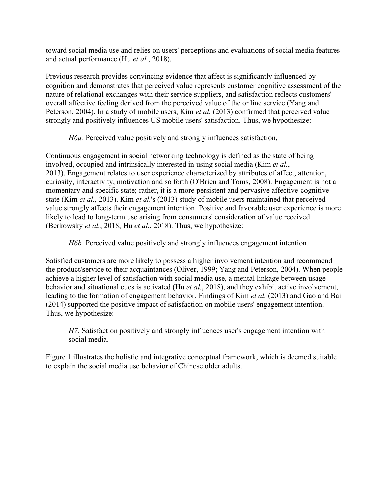toward social media use and relies on users' perceptions and evaluations of social media features and actual performance (Hu *et al.*, 2018).

Previous research provides convincing evidence that affect is significantly influenced by cognition and demonstrates that perceived value represents customer cognitive assessment of the nature of relational exchanges with their service suppliers, and satisfaction reflects customers' overall affective feeling derived from the perceived value of the online service (Yang and Peterson, 2004). In a study of mobile users, Kim *et al.* (2013) confirmed that perceived value strongly and positively influences US mobile users' satisfaction. Thus, we hypothesize:

*H6a.* Perceived value positively and strongly influences satisfaction.

Continuous engagement in social networking technology is defined as the state of being involved, occupied and intrinsically interested in using social media (Kim *et al.*, 2013). Engagement relates to user experience characterized by attributes of affect, attention, curiosity, interactivity, motivation and so forth (O'Brien and Toms, 2008). Engagement is not a momentary and specific state; rather, it is a more persistent and pervasive affective-cognitive state (Kim *et al.*, 2013). Kim *et al.*'s (2013) study of mobile users maintained that perceived value strongly affects their engagement intention. Positive and favorable user experience is more likely to lead to long-term use arising from consumers' consideration of value received (Berkowsky *et al.*, 2018; Hu *et al.*, 2018). Thus, we hypothesize:

*H6b.* Perceived value positively and strongly influences engagement intention.

Satisfied customers are more likely to possess a higher involvement intention and recommend the product/service to their acquaintances (Oliver, 1999; Yang and Peterson, 2004). When people achieve a higher level of satisfaction with social media use, a mental linkage between usage behavior and situational cues is activated (Hu *et al.*, 2018), and they exhibit active involvement, leading to the formation of engagement behavior. Findings of Kim *et al.* (2013) and Gao and Bai (2014) supported the positive impact of satisfaction on mobile users' engagement intention. Thus, we hypothesize:

*H7.* Satisfaction positively and strongly influences user's engagement intention with social media.

Figure 1 illustrates the holistic and integrative conceptual framework, which is deemed suitable to explain the social media use behavior of Chinese older adults.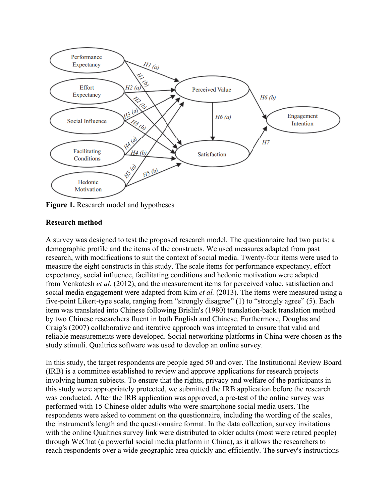

**Figure 1.** Research model and hypotheses

### **Research method**

A survey was designed to test the proposed research model. The questionnaire had two parts: a demographic profile and the items of the constructs. We used measures adapted from past research, with modifications to suit the context of social media. Twenty-four items were used to measure the eight constructs in this study. The scale items for performance expectancy, effort expectancy, social influence, facilitating conditions and hedonic motivation were adapted from Venkatesh *et al.* (2012), and the measurement items for perceived value, satisfaction and social media engagement were adapted from Kim *et al.* (2013). The items were measured using a five-point Likert-type scale, ranging from "strongly disagree" (1) to "strongly agree" (5). Each item was translated into Chinese following Brislin's (1980) translation-back translation method by two Chinese researchers fluent in both English and Chinese. Furthermore, Douglas and Craig's (2007) collaborative and iterative approach was integrated to ensure that valid and reliable measurements were developed. Social networking platforms in China were chosen as the study stimuli. Qualtrics software was used to develop an online survey.

In this study, the target respondents are people aged 50 and over. The Institutional Review Board (IRB) is a committee established to review and approve applications for research projects involving human subjects. To ensure that the rights, privacy and welfare of the participants in this study were appropriately protected, we submitted the IRB application before the research was conducted. After the IRB application was approved, a pre-test of the online survey was performed with 15 Chinese older adults who were smartphone social media users. The respondents were asked to comment on the questionnaire, including the wording of the scales, the instrument's length and the questionnaire format. In the data collection, survey invitations with the online Qualtrics survey link were distributed to older adults (most were retired people) through WeChat (a powerful social media platform in China), as it allows the researchers to reach respondents over a wide geographic area quickly and efficiently. The survey's instructions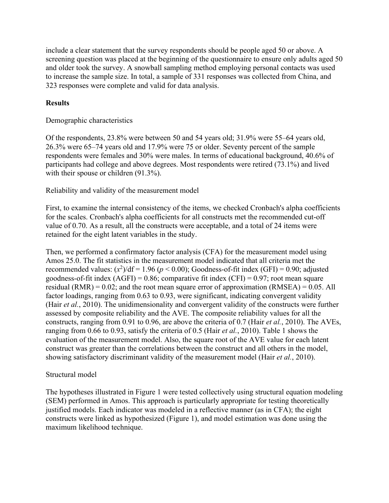include a clear statement that the survey respondents should be people aged 50 or above. A screening question was placed at the beginning of the questionnaire to ensure only adults aged 50 and older took the survey. A snowball sampling method employing personal contacts was used to increase the sample size. In total, a sample of 331 responses was collected from China, and 323 responses were complete and valid for data analysis.

### **Results**

Demographic characteristics

Of the respondents, 23.8% were between 50 and 54 years old; 31.9% were 55–64 years old, 26.3% were 65–74 years old and 17.9% were 75 or older. Seventy percent of the sample respondents were females and 30% were males. In terms of educational background, 40.6% of participants had college and above degrees. Most respondents were retired (73.1%) and lived with their spouse or children (91.3%).

Reliability and validity of the measurement model

First, to examine the internal consistency of the items, we checked Cronbach's alpha coefficients for the scales. Cronbach's alpha coefficients for all constructs met the recommended cut-off value of 0.70. As a result, all the constructs were acceptable, and a total of 24 items were retained for the eight latent variables in the study.

Then, we performed a confirmatory factor analysis (CFA) for the measurement model using Amos 25.0. The fit statistics in the measurement model indicated that all criteria met the recommended values:  $(x^2)/df = 1.96$  ( $p < 0.00$ ); Goodness-of-fit index (GFI) = 0.90; adjusted goodness-of-fit index  $(AGFI) = 0.86$ ; comparative fit index  $(CFI) = 0.97$ ; root mean square residual  $(RMR) = 0.02$ ; and the root mean square error of approximation  $(RMSEA) = 0.05$ . All factor loadings, ranging from 0.63 to 0.93, were significant, indicating convergent validity (Hair *et al.*, 2010). The unidimensionality and convergent validity of the constructs were further assessed by composite reliability and the AVE. The composite reliability values for all the constructs, ranging from 0.91 to 0.96, are above the criteria of 0.7 (Hair *et al.*, 2010). The AVEs, ranging from 0.66 to 0.93, satisfy the criteria of 0.5 (Hair *et al.*, 2010). Table 1 shows the evaluation of the measurement model. Also, the square root of the AVE value for each latent construct was greater than the correlations between the construct and all others in the model, showing satisfactory discriminant validity of the measurement model (Hair *et al.*, 2010).

### Structural model

The hypotheses illustrated in Figure 1 were tested collectively using structural equation modeling (SEM) performed in Amos. This approach is particularly appropriate for testing theoretically justified models. Each indicator was modeled in a reflective manner (as in CFA); the eight constructs were linked as hypothesized (Figure 1), and model estimation was done using the maximum likelihood technique.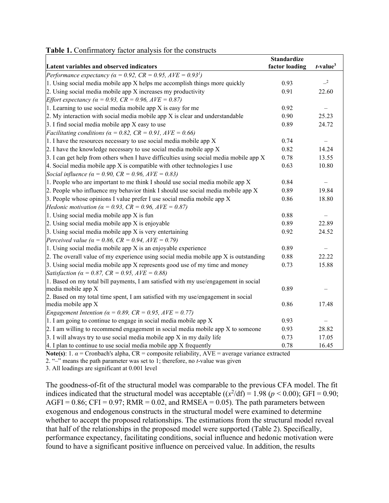|  |  | <b>Table 1.</b> Confirmatory factor analysis for the constructs |  |  |  |  |  |
|--|--|-----------------------------------------------------------------|--|--|--|--|--|
|--|--|-----------------------------------------------------------------|--|--|--|--|--|

| Latent variables and observed indicators                                                 | <b>Standardize</b><br>factor loading | $t$ -value <sup>3</sup> |
|------------------------------------------------------------------------------------------|--------------------------------------|-------------------------|
| Performance expectancy ( $\alpha = 0.92$ , CR = 0.95, AVE = 0.93 <sup>1</sup> )          |                                      |                         |
| 1. Using social media mobile app X helps me accomplish things more quickly               | 0.93                                 | $-2$                    |
| 2. Using social media mobile app X increases my productivity                             | 0.91                                 | 22.60                   |
| <i>Effort expectancy (<math>\alpha = 0.93</math>, CR = 0.96, AVE = 0.87)</i>             |                                      |                         |
| 1. Learning to use social media mobile app X is easy for me                              | 0.92                                 |                         |
| 2. My interaction with social media mobile app $X$ is clear and understandable           | 0.90                                 | 25.23                   |
| 3. I find social media mobile app $X$ easy to use                                        | 0.89                                 | 24.72                   |
| Facilitating conditions ( $\alpha = 0.82$ , CR = 0.91, AVE = 0.66)                       |                                      |                         |
| 1. I have the resources necessary to use social media mobile app $X$                     | 0.74                                 |                         |
| 2. I have the knowledge necessary to use social media mobile app $X$                     | 0.82                                 | 14.24                   |
| 3. I can get help from others when I have difficulties using social media mobile app $X$ | 0.78                                 | 13.55                   |
| 4. Social media mobile app $X$ is compatible with other technologies I use               | 0.63                                 | 10.80                   |
| Social influence ( $\alpha = 0.90$ , CR = 0.96, AVE = 0.83)                              |                                      |                         |
| 1. People who are important to me think I should use social media mobile app $X$         | 0.84                                 |                         |
| 2. People who influence my behavior think I should use social media mobile app $X$       | 0.89                                 | 19.84                   |
| 3. People whose opinions I value prefer I use social media mobile app $X$                | 0.86                                 | 18.80                   |
| <i>Hedonic motivation (<math>\alpha = 0.93</math>, CR = 0.96, AVE = 0.87)</i>            |                                      |                         |
| 1. Using social media mobile app X is fun                                                | 0.88                                 |                         |
| 2. Using social media mobile app X is enjoyable                                          | 0.89                                 | 22.89                   |
| 3. Using social media mobile app $X$ is very entertaining                                | 0.92                                 | 24.52                   |
| Perceived value ( $\alpha = 0.86$ , CR = 0.94, AVE = 0.79)                               |                                      |                         |
| 1. Using social media mobile app $X$ is an enjoyable experience                          | 0.89                                 |                         |
| 2. The overall value of my experience using social media mobile app $X$ is outstanding   | 0.88                                 | 22.22                   |
| 3. Using social media mobile app X represents good use of my time and money              | 0.73                                 | 15.88                   |
| Satisfaction ( $\alpha = 0.87$ , CR = 0.95, AVE = 0.88)                                  |                                      |                         |
| 1. Based on my total bill payments, I am satisfied with my use/engagement in social      |                                      |                         |
| media mobile app X                                                                       | 0.89                                 |                         |
| 2. Based on my total time spent, I am satisfied with my use/engagement in social         |                                      |                         |
| media mobile app X                                                                       | 0.86                                 | 17.48                   |
| Engagement Intention ( $\alpha = 0.89$ , CR = 0.95, AVE = 0.77)                          |                                      |                         |
| 1. I am going to continue to engage in social media mobile app $X$                       | 0.93                                 |                         |
| 2. I am willing to recommend engagement in social media mobile app $X$ to someone        | 0.93                                 | 28.82                   |
| 3. I will always try to use social media mobile app $X$ in my daily life                 | 0.73                                 | 17.05                   |
| 4. I plan to continue to use social media mobile app $X$ frequently                      | 0.78                                 | 16.45                   |

**Note(s):** 1.  $\alpha$  = Cronbach's alpha, CR = composite reliability, AVE = average variance extracted

2. "–" means the path parameter was set to 1; therefore, no *t*-value was given

3. All loadings are significant at 0.001 level

The goodness-of-fit of the structural model was comparable to the previous CFA model. The fit indices indicated that the structural model was acceptable  $((x^2/df) = 1.98 (p < 0.00)$ ; GFI = 0.90; AGFI =  $0.86$ ; CFI =  $0.97$ ; RMR =  $0.02$ , and RMSEA =  $0.05$ ). The path parameters between exogenous and endogenous constructs in the structural model were examined to determine whether to accept the proposed relationships. The estimations from the structural model reveal that half of the relationships in the proposed model were supported (Table 2). Specifically, performance expectancy, facilitating conditions, social influence and hedonic motivation were found to have a significant positive influence on perceived value. In addition, the results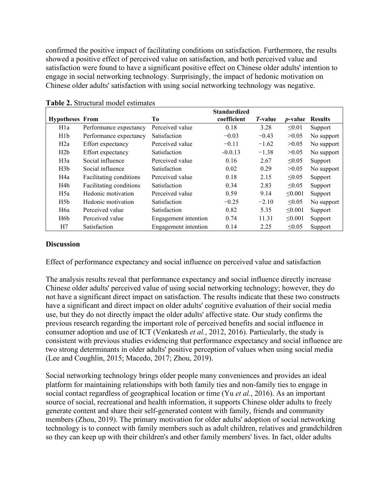confirmed the positive impact of facilitating conditions on satisfaction. Furthermore, the results showed a positive effect of perceived value on satisfaction, and both perceived value and satisfaction were found to have a significant positive effect on Chinese older adults' intention to engage in social networking technology. Surprisingly, the impact of hedonic motivation on Chinese older adults' satisfaction with using social networking technology was negative.

|                        |                         |                      | <b>Standardized</b> |                 |                 |                |
|------------------------|-------------------------|----------------------|---------------------|-----------------|-----------------|----------------|
| <b>Hypotheses From</b> |                         | Tо                   | coefficient         | <i>T</i> -value | <i>p</i> -value | <b>Results</b> |
| H <sub>1</sub> a       | Performance expectancy  | Perceived value      | 0.18                | 3.28            | $\leq 0.01$     | Support        |
| H1b                    | Performance expectancy  | Satisfaction         | $-0.03$             | $-0.43$         | >0.05           | No support     |
| H2a                    | Effort expectancy       | Perceived value      | $-0.11$             | $-1.62$         | >0.05           | No support     |
| H2b                    | Effort expectancy       | Satisfaction         | $-0.0.13$           | $-1.38$         | >0.05           | No support     |
| H3a                    | Social influence        | Perceived value      | 0.16                | 2.67            | $\leq 0.05$     | Support        |
| H3b                    | Social influence        | Satisfaction         | 0.02                | 0.29            | >0.05           | No support     |
| H4a                    | Facilitating conditions | Perceived value      | 0.18                | 2.15            | $\leq 0.05$     | Support        |
| H4b                    | Facilitating conditions | Satisfaction         | 0.34                | 2.83            | < 0.05          | Support        |
| H <sub>5</sub> a       | Hedonic motivation      | Perceived value      | 0.59                | 9.14            | < 0.001         | Support        |
| H5b                    | Hedonic motivation      | Satisfaction         | $-0.25$             | $-2.10$         | $\leq 0.05$     | No support     |
| H <sub>6</sub> a       | Perceived value         | Satisfaction         | 0.82                | 5.35            | < 0.001         | Support        |
| H <sub>6</sub> b       | Perceived value         | Engagement intention | 0.74                | 11.31           | < 0.001         | Support        |
| H7                     | Satisfaction            | Engagement intention | 0.14                | 2.25            | < 0.05          | Support        |

**Table 2.** Structural model estimates

### **Discussion**

Effect of performance expectancy and social influence on perceived value and satisfaction

The analysis results reveal that performance expectancy and social influence directly increase Chinese older adults' perceived value of using social networking technology; however, they do not have a significant direct impact on satisfaction. The results indicate that these two constructs have a significant and direct impact on older adults' cognitive evaluation of their social media use, but they do not directly impact the older adults' affective state. Our study confirms the previous research regarding the important role of perceived benefits and social influence in consumer adoption and use of ICT (Venkatesh *et al.*, 2012, 2016). Particularly, the study is consistent with previous studies evidencing that performance expectancy and social influence are two strong determinants in older adults' positive perception of values when using social media (Lee and Coughlin, 2015; Macedo, 2017; Zhou, 2019).

Social networking technology brings older people many conveniences and provides an ideal platform for maintaining relationships with both family ties and non-family ties to engage in social contact regardless of geographical location or time (Yu *et al.*, 2016). As an important source of social, recreational and health information, it supports Chinese older adults to freely generate content and share their self-generated content with family, friends and community members (Zhou, 2019). The primary motivation for older adults' adoption of social networking technology is to connect with family members such as adult children, relatives and grandchildren so they can keep up with their children's and other family members' lives. In fact, older adults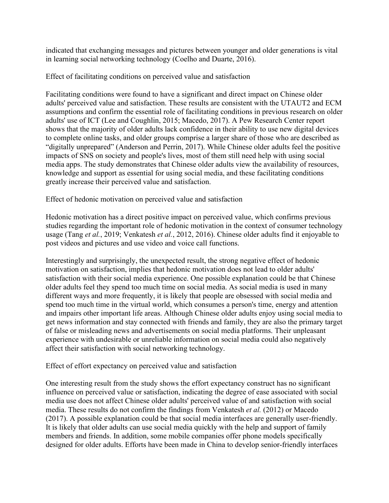indicated that exchanging messages and pictures between younger and older generations is vital in learning social networking technology (Coelho and Duarte, 2016).

Effect of facilitating conditions on perceived value and satisfaction

Facilitating conditions were found to have a significant and direct impact on Chinese older adults' perceived value and satisfaction. These results are consistent with the UTAUT2 and ECM assumptions and confirm the essential role of facilitating conditions in previous research on older adults' use of ICT (Lee and Coughlin, 2015; Macedo, 2017). A Pew Research Center report shows that the majority of older adults lack confidence in their ability to use new digital devices to complete online tasks, and older groups comprise a larger share of those who are described as "digitally unprepared" (Anderson and Perrin, 2017). While Chinese older adults feel the positive impacts of SNS on society and people's lives, most of them still need help with using social media apps. The study demonstrates that Chinese older adults view the availability of resources, knowledge and support as essential for using social media, and these facilitating conditions greatly increase their perceived value and satisfaction.

Effect of hedonic motivation on perceived value and satisfaction

Hedonic motivation has a direct positive impact on perceived value, which confirms previous studies regarding the important role of hedonic motivation in the context of consumer technology usage (Tang *et al.*, 2019; Venkatesh *et al.*, 2012, 2016). Chinese older adults find it enjoyable to post videos and pictures and use video and voice call functions.

Interestingly and surprisingly, the unexpected result, the strong negative effect of hedonic motivation on satisfaction, implies that hedonic motivation does not lead to older adults' satisfaction with their social media experience. One possible explanation could be that Chinese older adults feel they spend too much time on social media. As social media is used in many different ways and more frequently, it is likely that people are obsessed with social media and spend too much time in the virtual world, which consumes a person's time, energy and attention and impairs other important life areas. Although Chinese older adults enjoy using social media to get news information and stay connected with friends and family, they are also the primary target of false or misleading news and advertisements on social media platforms. Their unpleasant experience with undesirable or unreliable information on social media could also negatively affect their satisfaction with social networking technology.

Effect of effort expectancy on perceived value and satisfaction

One interesting result from the study shows the effort expectancy construct has no significant influence on perceived value or satisfaction, indicating the degree of ease associated with social media use does not affect Chinese older adults' perceived value of and satisfaction with social media. These results do not confirm the findings from Venkatesh *et al.* (2012) or Macedo (2017). A possible explanation could be that social media interfaces are generally user-friendly. It is likely that older adults can use social media quickly with the help and support of family members and friends. In addition, some mobile companies offer phone models specifically designed for older adults. Efforts have been made in China to develop senior-friendly interfaces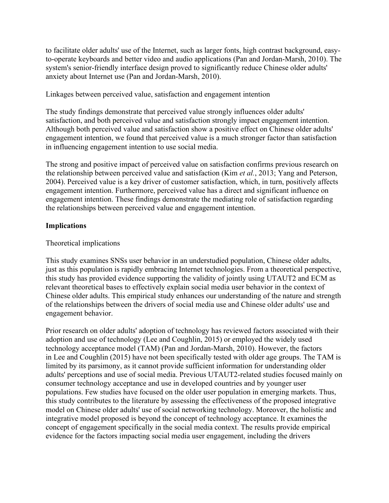to facilitate older adults' use of the Internet, such as larger fonts, high contrast background, easyto-operate keyboards and better video and audio applications (Pan and Jordan-Marsh, 2010). The system's senior-friendly interface design proved to significantly reduce Chinese older adults' anxiety about Internet use (Pan and Jordan-Marsh, 2010).

Linkages between perceived value, satisfaction and engagement intention

The study findings demonstrate that perceived value strongly influences older adults' satisfaction, and both perceived value and satisfaction strongly impact engagement intention. Although both perceived value and satisfaction show a positive effect on Chinese older adults' engagement intention, we found that perceived value is a much stronger factor than satisfaction in influencing engagement intention to use social media.

The strong and positive impact of perceived value on satisfaction confirms previous research on the relationship between perceived value and satisfaction (Kim *et al.*, 2013; Yang and Peterson, 2004). Perceived value is a key driver of customer satisfaction, which, in turn, positively affects engagement intention. Furthermore, perceived value has a direct and significant influence on engagement intention. These findings demonstrate the mediating role of satisfaction regarding the relationships between perceived value and engagement intention.

### **Implications**

### Theoretical implications

This study examines SNSs user behavior in an understudied population, Chinese older adults, just as this population is rapidly embracing Internet technologies. From a theoretical perspective, this study has provided evidence supporting the validity of jointly using UTAUT2 and ECM as relevant theoretical bases to effectively explain social media user behavior in the context of Chinese older adults. This empirical study enhances our understanding of the nature and strength of the relationships between the drivers of social media use and Chinese older adults' use and engagement behavior.

Prior research on older adults' adoption of technology has reviewed factors associated with their adoption and use of technology (Lee and Coughlin, 2015) or employed the widely used technology acceptance model (TAM) (Pan and Jordan-Marsh, 2010). However, the factors in Lee and Coughlin (2015) have not been specifically tested with older age groups. The TAM is limited by its parsimony, as it cannot provide sufficient information for understanding older adults' perceptions and use of social media. Previous UTAUT2-related studies focused mainly on consumer technology acceptance and use in developed countries and by younger user populations. Few studies have focused on the older user population in emerging markets. Thus, this study contributes to the literature by assessing the effectiveness of the proposed integrative model on Chinese older adults' use of social networking technology. Moreover, the holistic and integrative model proposed is beyond the concept of technology acceptance. It examines the concept of engagement specifically in the social media context. The results provide empirical evidence for the factors impacting social media user engagement, including the drivers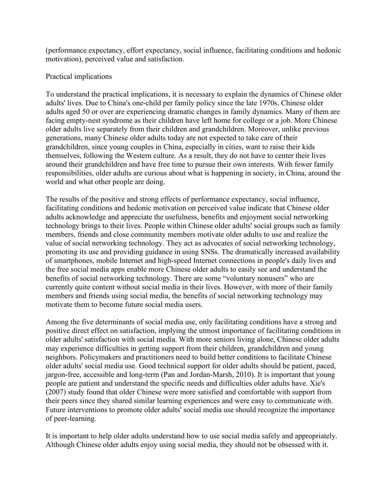(performance expectancy, effort expectancy, social influence, facilitating conditions and hedonic motivation), perceived value and satisfaction.

### Practical implications

To understand the practical implications, it is necessary to explain the dynamics of Chinese older adults' lives. Due to China's one-child per family policy since the late 1970s, Chinese older adults aged 50 or over are experiencing dramatic changes in family dynamics. Many of them are facing empty-nest syndrome as their children have left home for college or a job. More Chinese older adults live separately from their children and grandchildren. Moreover, unlike previous generations, many Chinese older adults today are not expected to take care of their grandchildren, since young couples in China, especially in cities, want to raise their kids themselves, following the Western culture. As a result, they do not have to center their lives around their grandchildren and have free time to pursue their own interests. With fewer family responsibilities, older adults are curious about what is happening in society, in China, around the world and what other people are doing.

The results of the positive and strong effects of performance expectancy, social influence, facilitating conditions and hedonic motivation on perceived value indicate that Chinese older adults acknowledge and appreciate the usefulness, benefits and enjoyment social networking technology brings to their lives. People within Chinese older adults' social groups such as family members, friends and close community members motivate older adults to use and realize the value of social networking technology. They act as advocates of social networking technology, promoting its use and providing guidance in using SNSs. The dramatically increased availability of smartphones, mobile Internet and high-speed Internet connections in people's daily lives and the free social media apps enable more Chinese older adults to easily see and understand the benefits of social networking technology. There are some "voluntary nonusers" who are currently quite content without social media in their lives. However, with more of their family members and friends using social media, the benefits of social networking technology may motivate them to become future social media users.

Among the five determinants of social media use, only facilitating conditions have a strong and positive direct effect on satisfaction, implying the utmost importance of facilitating conditions in older adults' satisfaction with social media. With more seniors living alone, Chinese older adults may experience difficulties in getting support from their children, grandchildren and young neighbors. Policymakers and practitioners need to build better conditions to facilitate Chinese older adults' social media use. Good technical support for older adults should be patient, paced, jargon-free, accessible and long-term (Pan and Jordan-Marsh, 2010). It is important that young people are patient and understand the specific needs and difficulties older adults have. Xie's (2007) study found that older Chinese were more satisfied and comfortable with support from their peers since they shared similar learning experiences and were easy to communicate with. Future interventions to promote older adults' social media use should recognize the importance of peer-learning.

It is important to help older adults understand how to use social media safely and appropriately. Although Chinese older adults enjoy using social media, they should not be obsessed with it.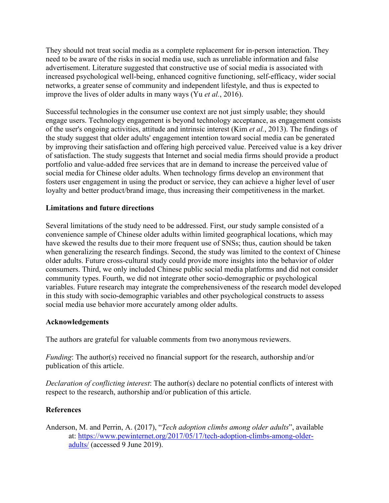They should not treat social media as a complete replacement for in-person interaction. They need to be aware of the risks in social media use, such as unreliable information and false advertisement. Literature suggested that constructive use of social media is associated with increased psychological well-being, enhanced cognitive functioning, self-efficacy, wider social networks, a greater sense of community and independent lifestyle, and thus is expected to improve the lives of older adults in many ways (Yu *et al.*, 2016).

Successful technologies in the consumer use context are not just simply usable; they should engage users. Technology engagement is beyond technology acceptance, as engagement consists of the user's ongoing activities, attitude and intrinsic interest (Kim *et al.*, 2013). The findings of the study suggest that older adults' engagement intention toward social media can be generated by improving their satisfaction and offering high perceived value. Perceived value is a key driver of satisfaction. The study suggests that Internet and social media firms should provide a product portfolio and value-added free services that are in demand to increase the perceived value of social media for Chinese older adults. When technology firms develop an environment that fosters user engagement in using the product or service, they can achieve a higher level of user loyalty and better product/brand image, thus increasing their competitiveness in the market.

### **Limitations and future directions**

Several limitations of the study need to be addressed. First, our study sample consisted of a convenience sample of Chinese older adults within limited geographical locations, which may have skewed the results due to their more frequent use of SNSs; thus, caution should be taken when generalizing the research findings. Second, the study was limited to the context of Chinese older adults. Future cross-cultural study could provide more insights into the behavior of older consumers. Third, we only included Chinese public social media platforms and did not consider community types. Fourth, we did not integrate other socio-demographic or psychological variables. Future research may integrate the comprehensiveness of the research model developed in this study with socio-demographic variables and other psychological constructs to assess social media use behavior more accurately among older adults.

### **Acknowledgements**

The authors are grateful for valuable comments from two anonymous reviewers.

*Funding*: The author(s) received no financial support for the research, authorship and/or publication of this article.

*Declaration of conflicting interest*: The author(s) declare no potential conflicts of interest with respect to the research, authorship and/or publication of this article.

### **References**

Anderson, M. and Perrin, A. (2017), "*Tech adoption climbs among older adults*", available at: [https://www.pewinternet.org/2017/05/17/tech-adoption-climbs-among-older](https://www.pewinternet.org/2017/05/17/tech-adoption-climbs-among-older-adults/)[adults/](https://www.pewinternet.org/2017/05/17/tech-adoption-climbs-among-older-adults/) (accessed 9 June 2019).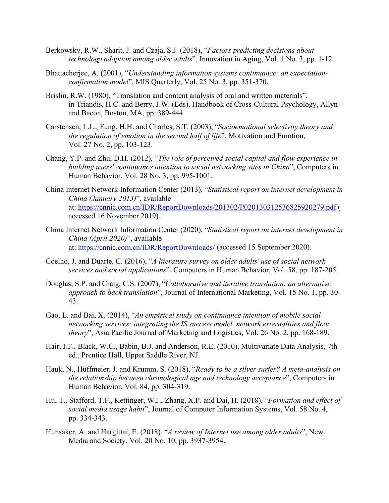- Berkowsky, R.W., Sharit, J. and Czaja, S.J. (2018), "*Factors predicting decisions about technology adoption among older adults*", Innovation in Aging, Vol. 1 No. 3, pp. 1-12.
- Bhattacherjee, A. (2001), "*Understanding information systems continuance: an expectationconfirmation model*", MIS Quarterly, Vol. 25 No. 3, pp. 351-370.
- Brislin, R.W. (1980), "Translation and content analysis of oral and written materials", in Triandis, H.C. and Berry, J.W. (Eds), Handbook of Cross-Cultural Psychology, Allyn and Bacon, Boston, MA, pp. 389-444.
- Carstensen, L.L., Fung, H.H. and Charles, S.T. (2003), "*Socioemotional selectivity theory and the regulation of emotion in the second half of life*", Motivation and Emotion, Vol. 27 No. 2, pp. 103-123.
- Chang, Y.P. and Zhu, D.H. (2012), "*The role of perceived social capital and flow experience in building users' continuance intention to social networking sites in China*", Computers in Human Behavior, Vol. 28 No. 3, pp. 995-1001.
- China Internet Network Information Center (2013), "*Statistical report on internet development in China (January 2013)*", available at: <https://cnnic.com.cn/IDR/ReportDownloads/201302/P020130312536825920279.pdf> ( accessed 16 November 2019).
- China Internet Network Information Center (2020), "*Statistical report on internet development in China (April 2020)*", available at: <https://cnnic.com.cn/IDR/ReportDownloads/> (accessed 15 September 2020).
- Coelho, J. and Duarte, C. (2016), "*A literature survey on older adults' use of social network services and social applications*", Computers in Human Behavior, Vol. 58, pp. 187-205.
- Douglas, S.P. and Craig, C.S. (2007), "*Collaborative and iterative translation: an alternative approach to back translation*", Journal of International Marketing, Vol. 15 No. 1, pp. 30- 43.
- Gao, L. and Bai, X. (2014), "*An empirical study on continuance intention of mobile social networking services: integrating the IS success model, network externalities and flow theory*", Asia Pacific Journal of Marketing and Logistics, Vol. 26 No. 2, pp. 168-189.
- Hair, J.F., Black, W.C., Babin, B.J. and Anderson, R.E. (2010), Multivariate Data Analysis, 7th ed., Prentice Hall, Upper Saddle River, NJ.
- Hauk, N., Hüffmeier, J. and Krumm, S. (2018), "*Ready to be a silver surfer? A meta-analysis on the relationship between chronological age and technology acceptance*", Computers in Human Behavior, Vol. 84, pp. 304-319.
- Hu, T., Stafford, T.F., Kettinger, W.J., Zhang, X.P. and Dai, H. (2018), "*Formation and effect of social media usage habit*", Journal of Computer Information Systems, Vol. 58 No. 4, pp. 334-343.
- Hunsaker, A. and Hargittai, E. (2018), "*A review of Internet use among older adults*", New Media and Society, Vol. 20 No. 10, pp. 3937-3954.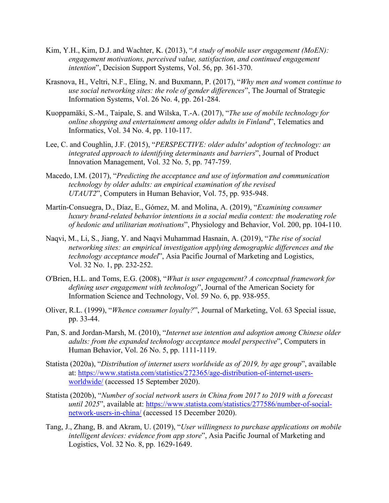- Kim, Y.H., Kim, D.J. and Wachter, K. (2013), "*A study of mobile user engagement (MoEN): engagement motivations, perceived value, satisfaction, and continued engagement intention*", Decision Support Systems, Vol. 56, pp. 361-370.
- Krasnova, H., Veltri, N.F., Eling, N. and Buxmann, P. (2017), "*Why men and women continue to use social networking sites: the role of gender differences*", The Journal of Strategic Information Systems, Vol. 26 No. 4, pp. 261-284.
- Kuoppamäki, S.-M., Taipale, S. and Wilska, T.-A. (2017), "*The use of mobile technology for online shopping and entertainment among older adults in Finland*", Telematics and Informatics, Vol. 34 No. 4, pp. 110-117.
- Lee, C. and Coughlin, J.F. (2015), "*PERSPECTIVE: older adults' adoption of technology: an integrated approach to identifying determinants and barriers*", Journal of Product Innovation Management, Vol. 32 No. 5, pp. 747-759.
- Macedo, I.M. (2017), "*Predicting the acceptance and use of information and communication technology by older adults: an empirical examination of the revised UTAUT2*", Computers in Human Behavior, Vol. 75, pp. 935-948.
- Martín-Consuegra, D., Díaz, E., Gómez, M. and Molina, A. (2019), "*Examining consumer luxury brand-related behavior intentions in a social media context: the moderating role of hedonic and utilitarian motivations*", Physiology and Behavior, Vol. 200, pp. 104-110.
- Naqvi, M., Li, S., Jiang, Y. and Naqvi Muhammad Hasnain, A. (2019), "*The rise of social networking sites: an empirical investigation applying demographic differences and the technology acceptance model*", Asia Pacific Journal of Marketing and Logistics, Vol. 32 No. 1, pp. 232-252.
- O'Brien, H.L. and Toms, E.G. (2008), "*What is user engagement? A conceptual framework for defining user engagement with technology*", Journal of the American Society for Information Science and Technology, Vol. 59 No. 6, pp. 938-955.
- Oliver, R.L. (1999), "*Whence consumer loyalty?*", Journal of Marketing, Vol. 63 Special issue, pp. 33-44.
- Pan, S. and Jordan-Marsh, M. (2010), "*Internet use intention and adoption among Chinese older adults: from the expanded technology acceptance model perspective*", Computers in Human Behavior, Vol. 26 No. 5, pp. 1111-1119.
- Statista (2020a), "*Distribution of internet users worldwide as of 2019, by age group*", available at: [https://www.statista.com/statistics/272365/age-distribution-of-internet-users](https://www.statista.com/statistics/272365/age-distribution-of-internet-users-worldwide/)[worldwide/](https://www.statista.com/statistics/272365/age-distribution-of-internet-users-worldwide/) (accessed 15 September 2020).
- Statista (2020b), "*Number of social network users in China from 2017 to 2019 with a forecast until 2025*", available at: [https://www.statista.com/statistics/277586/number-of-social](https://www.statista.com/statistics/277586/number-of-social-network-users-in-china/)[network-users-in-china/](https://www.statista.com/statistics/277586/number-of-social-network-users-in-china/) (accessed 15 December 2020).
- Tang, J., Zhang, B. and Akram, U. (2019), "*User willingness to purchase applications on mobile intelligent devices: evidence from app store*", Asia Pacific Journal of Marketing and Logistics, Vol. 32 No. 8, pp. 1629-1649.